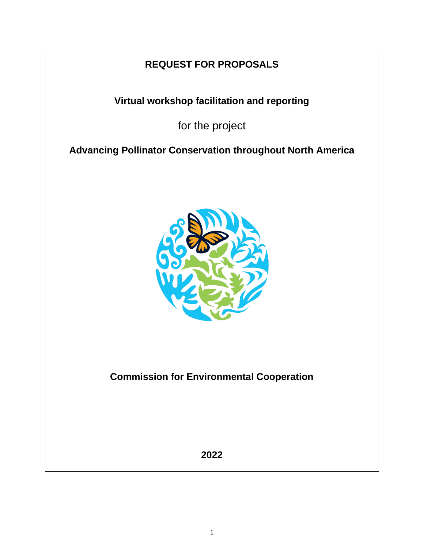# **REQUEST FOR PROPOSALS**

**Virtual workshop facilitation and reporting**

for the project

**Advancing Pollinator Conservation throughout North America**



**Commission for Environmental Cooperation**

**2022**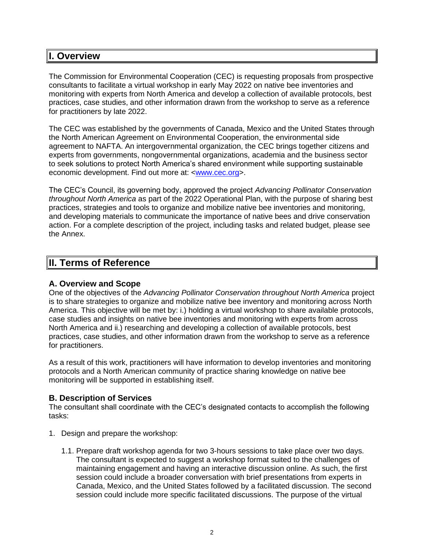## **I. Overview**

The Commission for Environmental Cooperation (CEC) is requesting proposals from prospective consultants to facilitate a virtual workshop in early May 2022 on native bee inventories and monitoring with experts from North America and develop a collection of available protocols, best practices, case studies, and other information drawn from the workshop to serve as a reference for practitioners by late 2022.

The CEC was established by the governments of Canada, Mexico and the United States through the North American Agreement on Environmental Cooperation, the environmental side agreement to NAFTA. An intergovernmental organization, the CEC brings together citizens and experts from governments, nongovernmental organizations, academia and the business sector to seek solutions to protect North America's shared environment while supporting sustainable economic development. Find out more at: [<www.cec.org>](http://www.cec.org/).

The CEC's Council, its governing body, approved the project *Advancing Pollinator Conservation throughout North America* as part of the 2022 Operational Plan, with the purpose of sharing best practices, strategies and tools to organize and mobilize native bee inventories and monitoring, and developing materials to communicate the importance of native bees and drive conservation action. For a complete description of the project, including tasks and related budget, please see the Annex.

## **II. Terms of Reference**

### **A. Overview and Scope**

One of the objectives of the *Advancing Pollinator Conservation throughout North America* project is to share strategies to organize and mobilize native bee inventory and monitoring across North America. This objective will be met by: i.) holding a virtual workshop to share available protocols, case studies and insights on native bee inventories and monitoring with experts from across North America and ii.) researching and developing a collection of available protocols, best practices, case studies, and other information drawn from the workshop to serve as a reference for practitioners.

As a result of this work, practitioners will have information to develop inventories and monitoring protocols and a North American community of practice sharing knowledge on native bee monitoring will be supported in establishing itself.

## **B. Description of Services**

The consultant shall coordinate with the CEC's designated contacts to accomplish the following tasks:

- 1. Design and prepare the workshop:
	- 1.1. Prepare draft workshop agenda for two 3-hours sessions to take place over two days. The consultant is expected to suggest a workshop format suited to the challenges of maintaining engagement and having an interactive discussion online. As such, the first session could include a broader conversation with brief presentations from experts in Canada, Mexico, and the United States followed by a facilitated discussion. The second session could include more specific facilitated discussions. The purpose of the virtual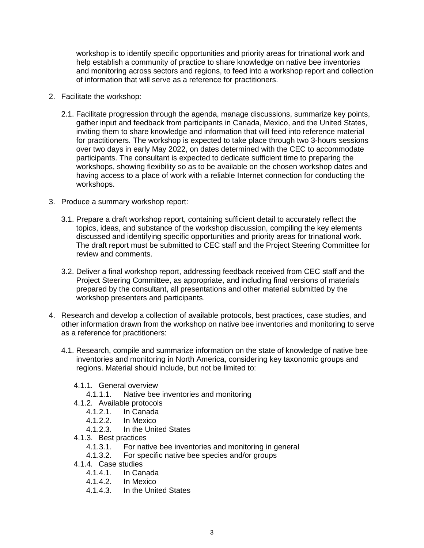workshop is to identify specific opportunities and priority areas for trinational work and help establish a community of practice to share knowledge on native bee inventories and monitoring across sectors and regions, to feed into a workshop report and collection of information that will serve as a reference for practitioners.

- 2. Facilitate the workshop:
	- 2.1. Facilitate progression through the agenda, manage discussions, summarize key points, gather input and feedback from participants in Canada, Mexico, and the United States, inviting them to share knowledge and information that will feed into reference material for practitioners. The workshop is expected to take place through two 3-hours sessions over two days in early May 2022, on dates determined with the CEC to accommodate participants. The consultant is expected to dedicate sufficient time to preparing the workshops, showing flexibility so as to be available on the chosen workshop dates and having access to a place of work with a reliable Internet connection for conducting the workshops.
- 3. Produce a summary workshop report:
	- 3.1. Prepare a draft workshop report, containing sufficient detail to accurately reflect the topics, ideas, and substance of the workshop discussion, compiling the key elements discussed and identifying specific opportunities and priority areas for trinational work. The draft report must be submitted to CEC staff and the Project Steering Committee for review and comments.
	- 3.2. Deliver a final workshop report, addressing feedback received from CEC staff and the Project Steering Committee, as appropriate, and including final versions of materials prepared by the consultant, all presentations and other material submitted by the workshop presenters and participants.
- 4. Research and develop a collection of available protocols, best practices, case studies, and other information drawn from the workshop on native bee inventories and monitoring to serve as a reference for practitioners:
	- 4.1. Research, compile and summarize information on the state of knowledge of native bee inventories and monitoring in North America, considering key taxonomic groups and regions. Material should include, but not be limited to:
		- 4.1.1. General overview
			- 4.1.1.1. Native bee inventories and monitoring
		- 4.1.2. Available protocols
			- 4.1.2.1. In Canada
			- 4.1.2.2. In Mexico
			- 4.1.2.3. In the United States
		- 4.1.3. Best practices
			- 4.1.3.1. For native bee inventories and monitoring in general
			- 4.1.3.2. For specific native bee species and/or groups
		- 4.1.4. Case studies
			- 4.1.4.1. In Canada
			- 4.1.4.2. In Mexico
			- 4.1.4.3. In the United States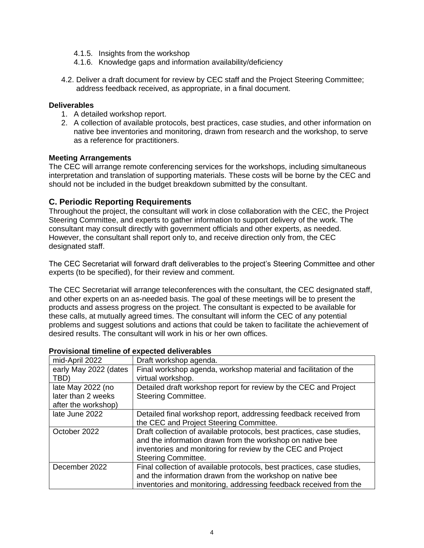- 4.1.5. Insights from the workshop
- 4.1.6. Knowledge gaps and information availability/deficiency
- 4.2. Deliver a draft document for review by CEC staff and the Project Steering Committee; address feedback received, as appropriate, in a final document.

#### **Deliverables**

- 1. A detailed workshop report.
- 2. A collection of available protocols, best practices, case studies, and other information on native bee inventories and monitoring, drawn from research and the workshop, to serve as a reference for practitioners.

#### **Meeting Arrangements**

The CEC will arrange remote conferencing services for the workshops, including simultaneous interpretation and translation of supporting materials. These costs will be borne by the CEC and should not be included in the budget breakdown submitted by the consultant.

#### **C. Periodic Reporting Requirements**

Throughout the project, the consultant will work in close collaboration with the CEC, the Project Steering Committee, and experts to gather information to support delivery of the work. The consultant may consult directly with government officials and other experts, as needed. However, the consultant shall report only to, and receive direction only from, the CEC designated staff.

The CEC Secretariat will forward draft deliverables to the project's Steering Committee and other experts (to be specified), for their review and comment.

The CEC Secretariat will arrange teleconferences with the consultant, the CEC designated staff, and other experts on an as-needed basis. The goal of these meetings will be to present the products and assess progress on the project. The consultant is expected to be available for these calls, at mutually agreed times. The consultant will inform the CEC of any potential problems and suggest solutions and actions that could be taken to facilitate the achievement of desired results. The consultant will work in his or her own offices.

| mid-April 2022        | Draft workshop agenda.                                                 |  |
|-----------------------|------------------------------------------------------------------------|--|
| early May 2022 (dates | Final workshop agenda, workshop material and facilitation of the       |  |
| TBD)                  | virtual workshop.                                                      |  |
| late May 2022 (no     | Detailed draft workshop report for review by the CEC and Project       |  |
| later than 2 weeks    | <b>Steering Committee.</b>                                             |  |
| after the workshop)   |                                                                        |  |
| late June 2022        | Detailed final workshop report, addressing feedback received from      |  |
|                       | the CEC and Project Steering Committee.                                |  |
| October 2022          | Draft collection of available protocols, best practices, case studies, |  |
|                       | and the information drawn from the workshop on native bee              |  |
|                       | inventories and monitoring for review by the CEC and Project           |  |
|                       | <b>Steering Committee.</b>                                             |  |
| December 2022         | Final collection of available protocols, best practices, case studies, |  |
|                       | and the information drawn from the workshop on native bee              |  |
|                       | inventories and monitoring, addressing feedback received from the      |  |

#### **Provisional timeline of expected deliverables**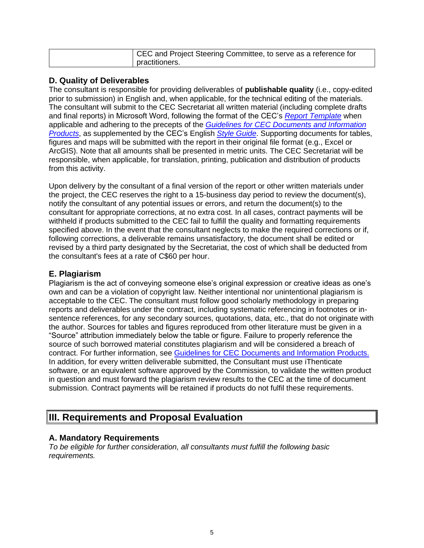| CEC and Project Steering Committee, to serve as a reference for |
|-----------------------------------------------------------------|
| practitioners.                                                  |

#### **D. Quality of Deliverables**

The consultant is responsible for providing deliverables of **publishable quality** (i.e., copy-edited prior to submission) in English and, when applicable, for the technical editing of the materials. The consultant will submit to the CEC Secretariat all written material (including complete drafts and final reports) in Microsoft Word, following the format of the CEC's *[Report Template](http://www.cec.org/cec_document_template_2015-rev/)* when applicable and adhering to the precepts of the *[Guidelines for CEC Documents and Information](http://www.cec.org/guidelines-for-cec-documents/)  [Products](http://www.cec.org/guidelines-for-cec-documents/)*, as supplemented by the CEC's English *[Style Guide](http://www.cec.org/18873_style-guide/)*. Supporting documents for tables, figures and maps will be submitted with the report in their original file format (e.g., Excel or ArcGIS). Note that all amounts shall be presented in metric units. The CEC Secretariat will be responsible, when applicable, for translation, printing, publication and distribution of products from this activity.

Upon delivery by the consultant of a final version of the report or other written materials under the project, the CEC reserves the right to a 15-business day period to review the document(s), notify the consultant of any potential issues or errors, and return the document(s) to the consultant for appropriate corrections, at no extra cost. In all cases, contract payments will be withheld if products submitted to the CEC fail to fulfill the quality and formatting requirements specified above. In the event that the consultant neglects to make the required corrections or if, following corrections, a deliverable remains unsatisfactory, the document shall be edited or revised by a third party designated by the Secretariat, the cost of which shall be deducted from the consultant's fees at a rate of C\$60 per hour.

## **E. Plagiarism**

Plagiarism is the act of conveying someone else's original expression or creative ideas as one's own and can be a violation of copyright law. Neither intentional nor unintentional plagiarism is acceptable to the CEC. The consultant must follow good scholarly methodology in preparing reports and deliverables under the contract, including systematic referencing in footnotes or insentence references, for any secondary sources, quotations, data, etc., that do not originate with the author. Sources for tables and figures reproduced from other literature must be given in a "Source" attribution immediately below the table or figure. Failure to properly reference the source of such borrowed material constitutes plagiarism and will be considered a breach of contract. For further information, see [Guidelines for CEC Documents and Information Products.](http://www.cec.org/wp-content/uploads/guidelines-for-cec-documents.pdf) In addition, for every written deliverable submitted, the Consultant must use iThenticate software, or an equivalent software approved by the Commission, to validate the written product in question and must forward the plagiarism review results to the CEC at the time of document submission. Contract payments will be retained if products do not fulfil these requirements.

## **III. Requirements and Proposal Evaluation**

### **A. Mandatory Requirements**

*To be eligible for further consideration, all consultants must fulfill the following basic requirements.*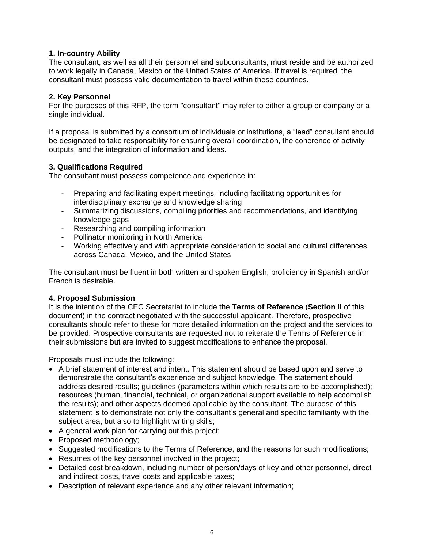#### **1. In-country Ability**

The consultant, as well as all their personnel and subconsultants, must reside and be authorized to work legally in Canada, Mexico or the United States of America. If travel is required, the consultant must possess valid documentation to travel within these countries.

#### **2. Key Personnel**

For the purposes of this RFP, the term "consultant" may refer to either a group or company or a single individual.

If a proposal is submitted by a consortium of individuals or institutions, a "lead" consultant should be designated to take responsibility for ensuring overall coordination, the coherence of activity outputs, and the integration of information and ideas.

#### **3. Qualifications Required**

The consultant must possess competence and experience in:

- Preparing and facilitating expert meetings, including facilitating opportunities for interdisciplinary exchange and knowledge sharing
- Summarizing discussions, compiling priorities and recommendations, and identifying knowledge gaps
- Researching and compiling information
- Pollinator monitoring in North America
- Working effectively and with appropriate consideration to social and cultural differences across Canada, Mexico, and the United States

The consultant must be fluent in both written and spoken English; proficiency in Spanish and/or French is desirable.

#### **4. Proposal Submission**

It is the intention of the CEC Secretariat to include the **Terms of Reference** (**Section II** of this document) in the contract negotiated with the successful applicant. Therefore, prospective consultants should refer to these for more detailed information on the project and the services to be provided. Prospective consultants are requested not to reiterate the Terms of Reference in their submissions but are invited to suggest modifications to enhance the proposal.

Proposals must include the following:

- A brief statement of interest and intent. This statement should be based upon and serve to demonstrate the consultant's experience and subject knowledge. The statement should address desired results; guidelines (parameters within which results are to be accomplished); resources (human, financial, technical, or organizational support available to help accomplish the results); and other aspects deemed applicable by the consultant. The purpose of this statement is to demonstrate not only the consultant's general and specific familiarity with the subject area, but also to highlight writing skills;
- A general work plan for carrying out this project;
- Proposed methodology;
- Suggested modifications to the Terms of Reference, and the reasons for such modifications;
- Resumes of the key personnel involved in the project;
- Detailed cost breakdown, including number of person/days of key and other personnel, direct and indirect costs, travel costs and applicable taxes;
- Description of relevant experience and any other relevant information;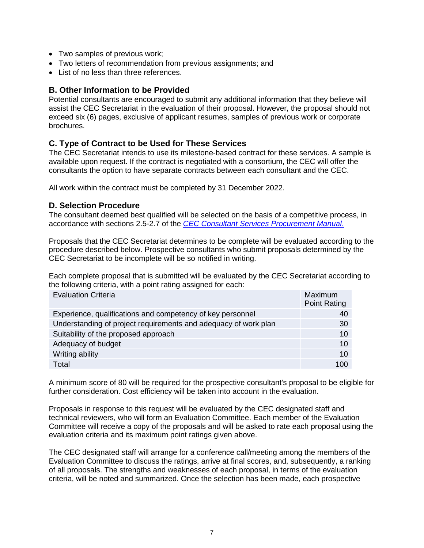- Two samples of previous work;
- Two letters of recommendation from previous assignments; and
- List of no less than three references.

#### **B. Other Information to be Provided**

Potential consultants are encouraged to submit any additional information that they believe will assist the CEC Secretariat in the evaluation of their proposal. However, the proposal should not exceed six (6) pages, exclusive of applicant resumes, samples of previous work or corporate brochures.

#### **C. Type of Contract to be Used for These Services**

The CEC Secretariat intends to use its milestone-based contract for these services. A sample is available upon request. If the contract is negotiated with a consortium, the CEC will offer the consultants the option to have separate contracts between each consultant and the CEC.

All work within the contract must be completed by 31 December 2022.

#### **D. Selection Procedure**

The consultant deemed best qualified will be selected on the basis of a competitive process, in accordance with sections 2.5-2.7 of the *[CEC Consultant Services Procurement Manual](http://www.cec.org/wp-content/uploads/18890_consultant_services_procurement_manual.pdf)*.

Proposals that the CEC Secretariat determines to be complete will be evaluated according to the procedure described below. Prospective consultants who submit proposals determined by the CEC Secretariat to be incomplete will be so notified in writing.

Each complete proposal that is submitted will be evaluated by the CEC Secretariat according to the following criteria, with a point rating assigned for each:

| <b>Evaluation Criteria</b>                                      | Maximum<br><b>Point Rating</b> |
|-----------------------------------------------------------------|--------------------------------|
| Experience, qualifications and competency of key personnel      | 40                             |
| Understanding of project requirements and adequacy of work plan | 30                             |
| Suitability of the proposed approach                            | 10                             |
| Adequacy of budget                                              | 10                             |
| Writing ability                                                 | 10                             |
| Total                                                           | 100                            |

A minimum score of 80 will be required for the prospective consultant's proposal to be eligible for further consideration. Cost efficiency will be taken into account in the evaluation.

Proposals in response to this request will be evaluated by the CEC designated staff and technical reviewers, who will form an Evaluation Committee. Each member of the Evaluation Committee will receive a copy of the proposals and will be asked to rate each proposal using the evaluation criteria and its maximum point ratings given above.

The CEC designated staff will arrange for a conference call/meeting among the members of the Evaluation Committee to discuss the ratings, arrive at final scores, and, subsequently, a ranking of all proposals. The strengths and weaknesses of each proposal, in terms of the evaluation criteria, will be noted and summarized. Once the selection has been made, each prospective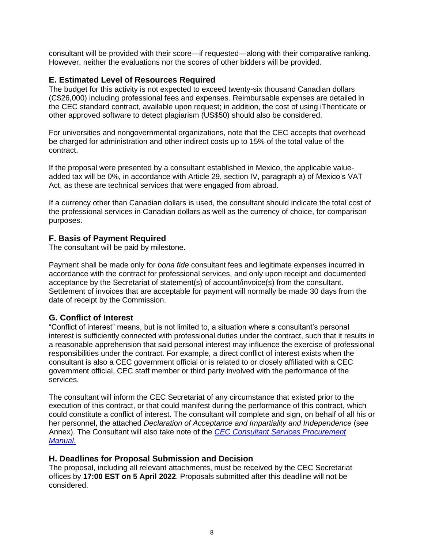consultant will be provided with their score—if requested—along with their comparative ranking. However, neither the evaluations nor the scores of other bidders will be provided.

### **E. Estimated Level of Resources Required**

The budget for this activity is not expected to exceed twenty-six thousand Canadian dollars (C\$26,000) including professional fees and expenses. Reimbursable expenses are detailed in the CEC standard contract, available upon request; in addition, the cost of using iThenticate or other approved software to detect plagiarism (US\$50) should also be considered.

For universities and nongovernmental organizations, note that the CEC accepts that overhead be charged for administration and other indirect costs up to 15% of the total value of the contract.

If the proposal were presented by a consultant established in Mexico, the applicable valueadded tax will be 0%, in accordance with Article 29, section IV, paragraph a) of Mexico's VAT Act, as these are technical services that were engaged from abroad.

If a currency other than Canadian dollars is used, the consultant should indicate the total cost of the professional services in Canadian dollars as well as the currency of choice, for comparison purposes.

#### **F. Basis of Payment Required**

The consultant will be paid by milestone.

Payment shall be made only for *bona fide* consultant fees and legitimate expenses incurred in accordance with the contract for professional services, and only upon receipt and documented acceptance by the Secretariat of statement(s) of account/invoice(s) from the consultant. Settlement of invoices that are acceptable for payment will normally be made 30 days from the date of receipt by the Commission.

### **G. Conflict of Interest**

"Conflict of interest" means, but is not limited to, a situation where a consultant's personal interest is sufficiently connected with professional duties under the contract, such that it results in a reasonable apprehension that said personal interest may influence the exercise of professional responsibilities under the contract. For example, a direct conflict of interest exists when the consultant is also a CEC government official or is related to or closely affiliated with a CEC government official, CEC staff member or third party involved with the performance of the services.

The consultant will inform the CEC Secretariat of any circumstance that existed prior to the execution of this contract, or that could manifest during the performance of this contract, which could constitute a conflict of interest. The consultant will complete and sign, on behalf of all his or her personnel, the attached *Declaration of Acceptance and Impartiality and Independence* (see Annex). The Consultant will also take note of the *[CEC Consultant Services Procurement](http://www.cec.org/wp-content/uploads/18890_consultant_services_procurement_manual.pdf)  [Manual](http://www.cec.org/wp-content/uploads/18890_consultant_services_procurement_manual.pdf)*.

#### **H. Deadlines for Proposal Submission and Decision**

The proposal, including all relevant attachments, must be received by the CEC Secretariat offices by **17:00 EST on 5 April 2022**. Proposals submitted after this deadline will not be considered.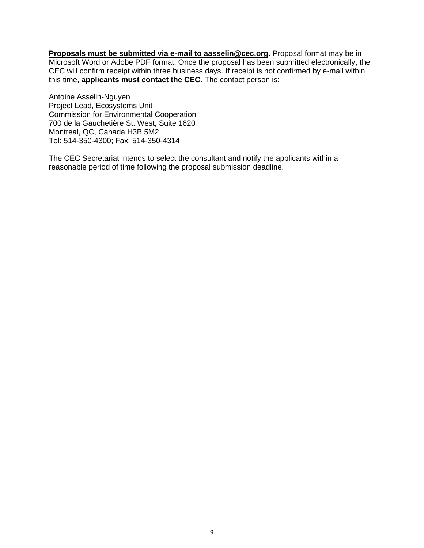**Proposals must be submitted via e-mail to aasselin@cec.org.** Proposal format may be in Microsoft Word or Adobe PDF format. Once the proposal has been submitted electronically, the CEC will confirm receipt within three business days. If receipt is not confirmed by e-mail within this time, **applicants must contact the CEC**. The contact person is:

Antoine Asselin-Nguyen Project Lead, Ecosystems Unit Commission for Environmental Cooperation 700 de la Gauchetière St. West, Suite 1620 Montreal, QC, Canada H3B 5M2 Tel: 514-350-4300; Fax: 514-350-4314

The CEC Secretariat intends to select the consultant and notify the applicants within a reasonable period of time following the proposal submission deadline.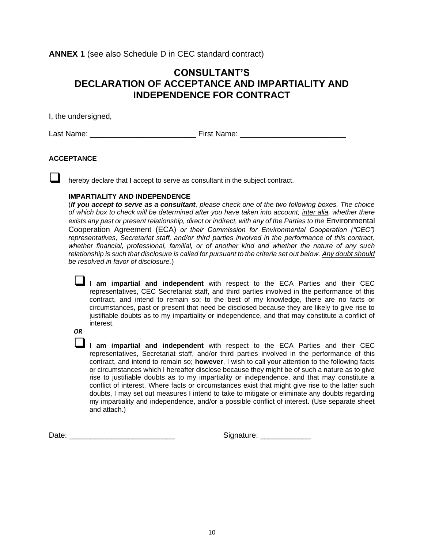**ANNEX 1** (see also Schedule D in CEC standard contract)

## **CONSULTANT'S DECLARATION OF ACCEPTANCE AND IMPARTIALITY AND INDEPENDENCE FOR CONTRACT**

I, the undersigned,

Last Name: \_\_\_\_\_\_\_\_\_\_\_\_\_\_\_\_\_\_\_\_\_\_\_\_\_ First Name: \_\_\_\_\_\_\_\_\_\_\_\_\_\_\_\_\_\_\_\_\_\_\_\_\_

#### **ACCEPTANCE**

hereby declare that I accept to serve as consultant in the subject contract.

#### **IMPARTIALITY AND INDEPENDENCE**

(*If you accept to serve as a consultant, please check one of the two following boxes. The choice of which box to check will be determined after you have taken into account, inter alia, whether there*  exists any past or present relationship, direct or indirect, with any of the Parties to the Environmental Cooperation Agreement (ECA) *or their Commission for Environmental Cooperation ("CEC") representatives, Secretariat staff, and/or third parties involved in the performance of this contract, whether financial, professional, familial, or of another kind and whether the nature of any such relationship is such that disclosure is called for pursuant to the criteria set out below. Any doubt should be resolved in favor of disclosure.*)

❑ **I am impartial and independent** with respect to the ECA Parties and their CEC representatives, CEC Secretariat staff, and third parties involved in the performance of this contract, and intend to remain so; to the best of my knowledge, there are no facts or circumstances, past or present that need be disclosed because they are likely to give rise to justifiable doubts as to my impartiality or independence, and that may constitute a conflict of interest.

*OR*

❑ **I am impartial and independent** with respect to the ECA Parties and their CEC representatives, Secretariat staff, and/or third parties involved in the performance of this contract, and intend to remain so; **however**, I wish to call your attention to the following facts or circumstances which I hereafter disclose because they might be of such a nature as to give rise to justifiable doubts as to my impartiality or independence, and that may constitute a conflict of interest. Where facts or circumstances exist that might give rise to the latter such doubts, I may set out measures I intend to take to mitigate or eliminate any doubts regarding my impartiality and independence, and/or a possible conflict of interest. (Use separate sheet and attach.)

Date: \_\_\_\_\_\_\_\_\_\_\_\_\_\_\_\_\_\_\_\_\_\_\_\_\_ Signature: \_\_\_\_\_\_\_\_\_\_\_\_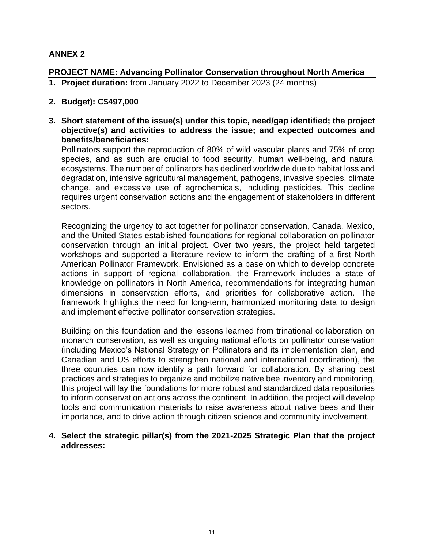## **ANNEX 2**

## **PROJECT NAME: Advancing Pollinator Conservation throughout North America**

**1. Project duration:** from January 2022 to December 2023 (24 months)

## **2. Budget): C\$497,000**

**3. Short statement of the issue(s) under this topic, need/gap identified; the project objective(s) and activities to address the issue; and expected outcomes and benefits/beneficiaries:**

Pollinators support the reproduction of 80% of wild vascular plants and 75% of crop species, and as such are crucial to food security, human well-being, and natural ecosystems. The number of pollinators has declined worldwide due to habitat loss and degradation, intensive agricultural management, pathogens, invasive species, climate change, and excessive use of agrochemicals, including pesticides. This decline requires urgent conservation actions and the engagement of stakeholders in different sectors.

Recognizing the urgency to act together for pollinator conservation, Canada, Mexico, and the United States established foundations for regional collaboration on pollinator conservation through an initial project. Over two years, the project held targeted workshops and supported a literature review to inform the drafting of a first North American Pollinator Framework. Envisioned as a base on which to develop concrete actions in support of regional collaboration, the Framework includes a state of knowledge on pollinators in North America, recommendations for integrating human dimensions in conservation efforts, and priorities for collaborative action. The framework highlights the need for long-term, harmonized monitoring data to design and implement effective pollinator conservation strategies.

Building on this foundation and the lessons learned from trinational collaboration on monarch conservation, as well as ongoing national efforts on pollinator conservation (including Mexico's National Strategy on Pollinators and its implementation plan, and Canadian and US efforts to strengthen national and international coordination), the three countries can now identify a path forward for collaboration. By sharing best practices and strategies to organize and mobilize native bee inventory and monitoring, this project will lay the foundations for more robust and standardized data repositories to inform conservation actions across the continent. In addition, the project will develop tools and communication materials to raise awareness about native bees and their importance, and to drive action through citizen science and community involvement.

**4. Select the strategic pillar(s) from the 2021-2025 Strategic Plan that the project addresses:**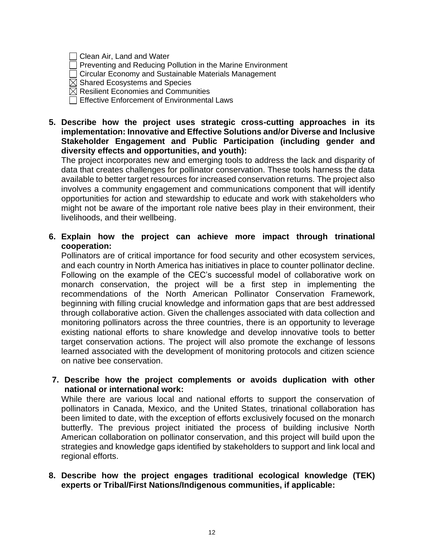| $\Box$ Clean Air, Land and Water |  |  |  |  |
|----------------------------------|--|--|--|--|
|----------------------------------|--|--|--|--|

 $\Box$  Preventing and Reducing Pollution in the Marine Environment

Circular Economy and Sustainable Materials Management

 $\boxtimes$  Shared Ecosystems and Species

- $\boxtimes$  Resilient Economies and Communities
- □ Effective Enforcement of Environmental Laws
- **5. Describe how the project uses strategic cross-cutting approaches in its implementation: Innovative and Effective Solutions and/or Diverse and Inclusive Stakeholder Engagement and Public Participation (including gender and diversity effects and opportunities, and youth):**

The project incorporates new and emerging tools to address the lack and disparity of data that creates challenges for pollinator conservation. These tools harness the data available to better target resources for increased conservation returns. The project also involves a community engagement and communications component that will identify opportunities for action and stewardship to educate and work with stakeholders who might not be aware of the important role native bees play in their environment, their livelihoods, and their wellbeing.

**6. Explain how the project can achieve more impact through trinational cooperation:**

Pollinators are of critical importance for food security and other ecosystem services, and each country in North America has initiatives in place to counter pollinator decline. Following on the example of the CEC's successful model of collaborative work on monarch conservation, the project will be a first step in implementing the recommendations of the North American Pollinator Conservation Framework, beginning with filling crucial knowledge and information gaps that are best addressed through collaborative action. Given the challenges associated with data collection and monitoring pollinators across the three countries, there is an opportunity to leverage existing national efforts to share knowledge and develop innovative tools to better target conservation actions. The project will also promote the exchange of lessons learned associated with the development of monitoring protocols and citizen science on native bee conservation.

**7. Describe how the project complements or avoids duplication with other national or international work:**

While there are various local and national efforts to support the conservation of pollinators in Canada, Mexico, and the United States, trinational collaboration has been limited to date, with the exception of efforts exclusively focused on the monarch butterfly. The previous project initiated the process of building inclusive North American collaboration on pollinator conservation, and this project will build upon the strategies and knowledge gaps identified by stakeholders to support and link local and regional efforts.

**8. Describe how the project engages traditional ecological knowledge (TEK) experts or Tribal/First Nations/Indigenous communities, if applicable:**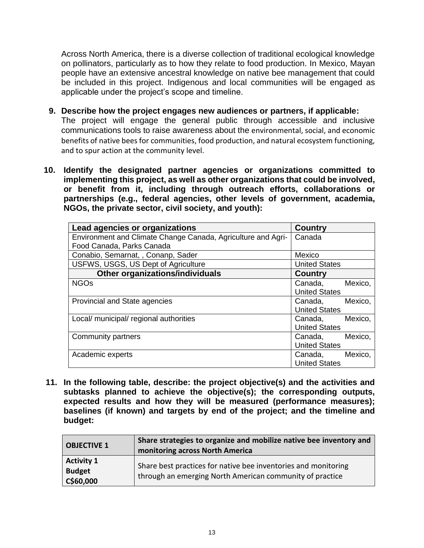Across North America, there is a diverse collection of traditional ecological knowledge on pollinators, particularly as to how they relate to food production. In Mexico, Mayan people have an extensive ancestral knowledge on native bee management that could be included in this project. Indigenous and local communities will be engaged as applicable under the project's scope and timeline.

- **9. Describe how the project engages new audiences or partners, if applicable:** The project will engage the general public through accessible and inclusive communications tools to raise awareness about the environmental, social, and economic benefits of native bees for communities, food production, and natural ecosystem functioning, and to spur action at the community level.
- **10. Identify the designated partner agencies or organizations committed to implementing this project, as well as other organizations that could be involved, or benefit from it, including through outreach efforts, collaborations or partnerships (e.g., federal agencies, other levels of government, academia, NGOs, the private sector, civil society, and youth):**

| Lead agencies or organizations                               | <b>Country</b>       |
|--------------------------------------------------------------|----------------------|
| Environment and Climate Change Canada, Agriculture and Agri- | Canada               |
| Food Canada, Parks Canada                                    |                      |
| Conabio, Semarnat, , Conanp, Sader                           | Mexico               |
| USFWS, USGS, US Dept of Agriculture                          | <b>United States</b> |
| Other organizations/individuals                              | <b>Country</b>       |
| <b>NGOs</b>                                                  | Mexico,<br>Canada,   |
|                                                              | <b>United States</b> |
| Provincial and State agencies                                | Mexico,<br>Canada,   |
|                                                              | <b>United States</b> |
| Local/ municipal/ regional authorities                       | Mexico,<br>Canada,   |
|                                                              | <b>United States</b> |
| Community partners                                           | Mexico,<br>Canada,   |
|                                                              | <b>United States</b> |
| Academic experts                                             | Mexico,<br>Canada,   |
|                                                              | <b>United States</b> |

**11. In the following table, describe: the project objective(s) and the activities and subtasks planned to achieve the objective(s); the corresponding outputs, expected results and how they will be measured (performance measures); baselines (if known) and targets by end of the project; and the timeline and budget:**

| <b>OBJECTIVE 1</b>                              | Share strategies to organize and mobilize native bee inventory and<br>monitoring across North America                      |  |
|-------------------------------------------------|----------------------------------------------------------------------------------------------------------------------------|--|
| <b>Activity 1</b><br><b>Budget</b><br>C\$60,000 | Share best practices for native bee inventories and monitoring<br>through an emerging North American community of practice |  |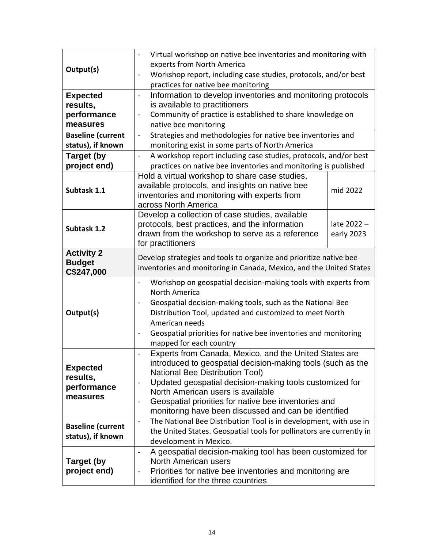|                          | Virtual workshop on native bee inventories and monitoring with<br>$\overline{\phantom{0}}$                               |             |  |
|--------------------------|--------------------------------------------------------------------------------------------------------------------------|-------------|--|
| Output(s)                | experts from North America                                                                                               |             |  |
|                          | Workshop report, including case studies, protocols, and/or best<br>$\overline{\phantom{0}}$                              |             |  |
|                          | practices for native bee monitoring                                                                                      |             |  |
| <b>Expected</b>          | Information to develop inventories and monitoring protocols<br>$\blacksquare$                                            |             |  |
| results,                 | is available to practitioners                                                                                            |             |  |
| performance              | Community of practice is established to share knowledge on<br>$\qquad \qquad \blacksquare$                               |             |  |
| measures                 | native bee monitoring                                                                                                    |             |  |
| <b>Baseline (current</b> | Strategies and methodologies for native bee inventories and<br>$\blacksquare$                                            |             |  |
| status), if known        | monitoring exist in some parts of North America                                                                          |             |  |
| <b>Target (by</b>        | A workshop report including case studies, protocols, and/or best<br>$\overline{a}$                                       |             |  |
| project end)             | practices on native bee inventories and monitoring is published                                                          |             |  |
|                          | Hold a virtual workshop to share case studies,                                                                           |             |  |
| Subtask 1.1              | available protocols, and insights on native bee                                                                          | mid 2022    |  |
|                          | inventories and monitoring with experts from<br>across North America                                                     |             |  |
|                          | Develop a collection of case studies, available                                                                          |             |  |
|                          | protocols, best practices, and the information                                                                           | late 2022 - |  |
| Subtask 1.2              | drawn from the workshop to serve as a reference                                                                          | early 2023  |  |
|                          | for practitioners                                                                                                        |             |  |
| <b>Activity 2</b>        |                                                                                                                          |             |  |
| <b>Budget</b>            | Develop strategies and tools to organize and prioritize native bee                                                       |             |  |
| C\$247,000               | inventories and monitoring in Canada, Mexico, and the United States                                                      |             |  |
|                          | Workshop on geospatial decision-making tools with experts from<br>$\qquad \qquad \blacksquare$                           |             |  |
|                          | <b>North America</b>                                                                                                     |             |  |
|                          | Geospatial decision-making tools, such as the National Bee<br>$\overline{\phantom{0}}$                                   |             |  |
| Output(s)                | Distribution Tool, updated and customized to meet North                                                                  |             |  |
|                          | American needs                                                                                                           |             |  |
|                          | Geospatial priorities for native bee inventories and monitoring                                                          |             |  |
|                          | mapped for each country                                                                                                  |             |  |
|                          | Experts from Canada, Mexico, and the United States are<br>$\frac{1}{2}$                                                  |             |  |
| <b>Expected</b>          | introduced to geospatial decision-making tools (such as the                                                              |             |  |
| results,                 | <b>National Bee Distribution Tool)</b>                                                                                   |             |  |
| performance              | Updated geospatial decision-making tools customized for<br>$\overline{\phantom{0}}$<br>North American users is available |             |  |
| measures                 | Geospatial priorities for native bee inventories and<br>-                                                                |             |  |
|                          | monitoring have been discussed and can be identified                                                                     |             |  |
|                          | The National Bee Distribution Tool is in development, with use in<br>$\overline{\phantom{a}}$                            |             |  |
| <b>Baseline (current</b> | the United States. Geospatial tools for pollinators are currently in                                                     |             |  |
| status), if known        | development in Mexico.                                                                                                   |             |  |
|                          | A geospatial decision-making tool has been customized for<br>$\frac{1}{2}$                                               |             |  |
| <b>Target (by</b>        | North American users                                                                                                     |             |  |
| project end)             | Priorities for native bee inventories and monitoring are                                                                 |             |  |
|                          | identified for the three countries                                                                                       |             |  |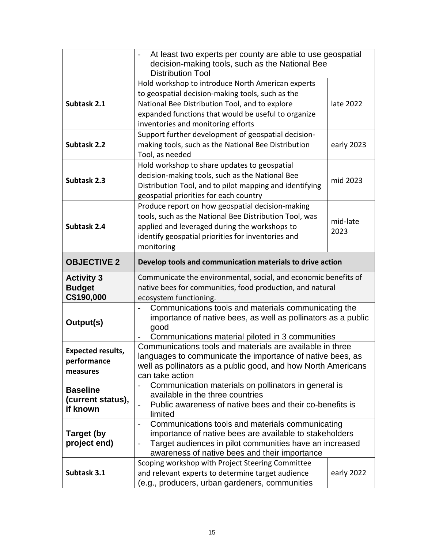|                                                     | At least two experts per county are able to use geospatial<br>decision-making tools, such as the National Bee<br><b>Distribution Tool</b>                                                                                                            |                  |
|-----------------------------------------------------|------------------------------------------------------------------------------------------------------------------------------------------------------------------------------------------------------------------------------------------------------|------------------|
| Subtask 2.1                                         | Hold workshop to introduce North American experts<br>to geospatial decision-making tools, such as the<br>National Bee Distribution Tool, and to explore<br>expanded functions that would be useful to organize<br>inventories and monitoring efforts | late 2022        |
| Subtask 2.2                                         | Support further development of geospatial decision-<br>making tools, such as the National Bee Distribution<br>early 2023<br>Tool, as needed                                                                                                          |                  |
| Subtask 2.3                                         | Hold workshop to share updates to geospatial<br>decision-making tools, such as the National Bee<br>mid 2023<br>Distribution Tool, and to pilot mapping and identifying<br>geospatial priorities for each country                                     |                  |
| Subtask 2.4                                         | Produce report on how geospatial decision-making<br>tools, such as the National Bee Distribution Tool, was<br>applied and leveraged during the workshops to<br>identify geospatial priorities for inventories and<br>monitoring                      | mid-late<br>2023 |
| <b>OBJECTIVE 2</b>                                  | Develop tools and communication materials to drive action                                                                                                                                                                                            |                  |
| <b>Activity 3</b><br><b>Budget</b><br>C\$190,000    | Communicate the environmental, social, and economic benefits of<br>native bees for communities, food production, and natural<br>ecosystem functioning.                                                                                               |                  |
| Output(s)                                           | Communications tools and materials communicating the<br>importance of native bees, as well as pollinators as a public<br>good<br>Communications material piloted in 3 communities                                                                    |                  |
| <b>Expected results,</b><br>performance<br>measures | Communications tools and materials are available in three<br>languages to communicate the importance of native bees, as<br>well as pollinators as a public good, and how North Americans<br>can take action                                          |                  |
| <b>Baseline</b><br>(current status),<br>if known    | Communication materials on pollinators in general is<br>available in the three countries                                                                                                                                                             |                  |
|                                                     | Public awareness of native bees and their co-benefits is<br>limited                                                                                                                                                                                  |                  |
| Target (by<br>project end)                          | Communications tools and materials communicating<br>importance of native bees are available to stakeholders<br>Target audiences in pilot communities have an increased<br>$\blacksquare$<br>awareness of native bees and their importance            |                  |